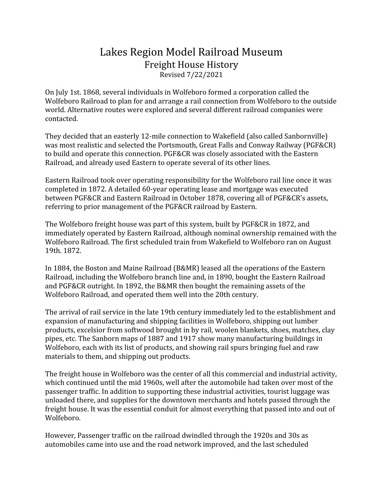## Lakes Region Model Railroad Museum Freight House History Revised 7/22/2021

On July 1st. 1868, several individuals in Wolfeboro formed a corporation called the Wolfeboro Railroad to plan for and arrange a rail connection from Wolfeboro to the outside world. Alternative routes were explored and several different railroad companies were contacted.

They decided that an easterly 12-mile connection to Wakefield (also called Sanbornville) was most realistic and selected the Portsmouth, Great Falls and Conway Railway (PGF&CR) to build and operate this connection. PGF&CR was closely associated with the Eastern Railroad, and already used Eastern to operate several of its other lines.

Eastern Railroad took over operating responsibility for the Wolfeboro rail line once it was completed in 1872. A detailed 60-year operating lease and mortgage was executed between PGF&CR and Eastern Railroad in October 1878, covering all of PGF&CR's assets, referring to prior management of the PGF&CR railroad by Eastern.

The Wolfeboro freight house was part of this system, built by PGF&CR in 1872, and immediately operated by Eastern Railroad, although nominal ownership remained with the Wolfeboro Railroad. The first scheduled train from Wakefield to Wolfeboro ran on August 19th. 1872.

In 1884, the Boston and Maine Railroad (B&MR) leased all the operations of the Eastern Railroad, including the Wolfeboro branch line and, in 1890, bought the Eastern Railroad and PGF&CR outright. In 1892, the B&MR then bought the remaining assets of the Wolfeboro Railroad, and operated them well into the 20th century.

The arrival of rail service in the late 19th century immediately led to the establishment and expansion of manufacturing and shipping facilities in Wolfeboro, shipping out lumber products, excelsior from softwood brought in by rail, woolen blankets, shoes, matches, clay pipes, etc. The Sanborn maps of 1887 and 1917 show many manufacturing buildings in Wolfeboro, each with its list of products, and showing rail spurs bringing fuel and raw materials to them, and shipping out products.

The freight house in Wolfeboro was the center of all this commercial and industrial activity, which continued until the mid 1960s, well after the automobile had taken over most of the passenger traffic. In addition to supporting these industrial activities, tourist luggage was unloaded there, and supplies for the downtown merchants and hotels passed through the freight house. It was the essential conduit for almost everything that passed into and out of Wolfeboro.

However, Passenger traffic on the railroad dwindled through the 1920s and 30s as automobiles came into use and the road network improved, and the last scheduled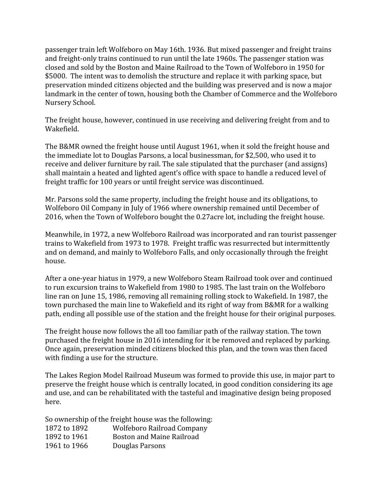passenger train left Wolfeboro on May 16th. 1936. But mixed passenger and freight trains and freight-only trains continued to run until the late 1960s. The passenger station was closed and sold by the Boston and Maine Railroad to the Town of Wolfeboro in 1950 for \$5000. The intent was to demolish the structure and replace it with parking space, but preservation minded citizens objected and the building was preserved and is now a major landmark in the center of town, housing both the Chamber of Commerce and the Wolfeboro Nursery School.

The freight house, however, continued in use receiving and delivering freight from and to Wakefield.

The B&MR owned the freight house until August 1961, when it sold the freight house and the immediate lot to Douglas Parsons, a local businessman, for \$2,500, who used it to receive and deliver furniture by rail. The sale stipulated that the purchaser (and assigns) shall maintain a heated and lighted agent's office with space to handle a reduced level of freight traffic for 100 years or until freight service was discontinued.

Mr. Parsons sold the same property, including the freight house and its obligations, to Wolfeboro Oil Company in July of 1966 where ownership remained until December of 2016, when the Town of Wolfeboro bought the 0.27acre lot, including the freight house.

Meanwhile, in 1972, a new Wolfeboro Railroad was incorporated and ran tourist passenger trains to Wakefield from 1973 to 1978. Freight traffic was resurrected but intermittently and on demand, and mainly to Wolfeboro Falls, and only occasionally through the freight house.

After a one-year hiatus in 1979, a new Wolfeboro Steam Railroad took over and continued to run excursion trains to Wakefield from 1980 to 1985. The last train on the Wolfeboro line ran on June 15, 1986, removing all remaining rolling stock to Wakefield. In 1987, the town purchased the main line to Wakefield and its right of way from B&MR for a walking path, ending all possible use of the station and the freight house for their original purposes.

The freight house now follows the all too familiar path of the railway station. The town purchased the freight house in 2016 intending for it be removed and replaced by parking. Once again, preservation minded citizens blocked this plan, and the town was then faced with finding a use for the structure.

The Lakes Region Model Railroad Museum was formed to provide this use, in major part to preserve the freight house which is centrally located, in good condition considering its age and use, and can be rehabilitated with the tasteful and imaginative design being proposed here.

So ownership of the freight house was the following: 1872 to 1892 Wolfeboro Railroad Company 1892 to 1961 Boston and Maine Railroad 1961 to 1966 Douglas Parsons